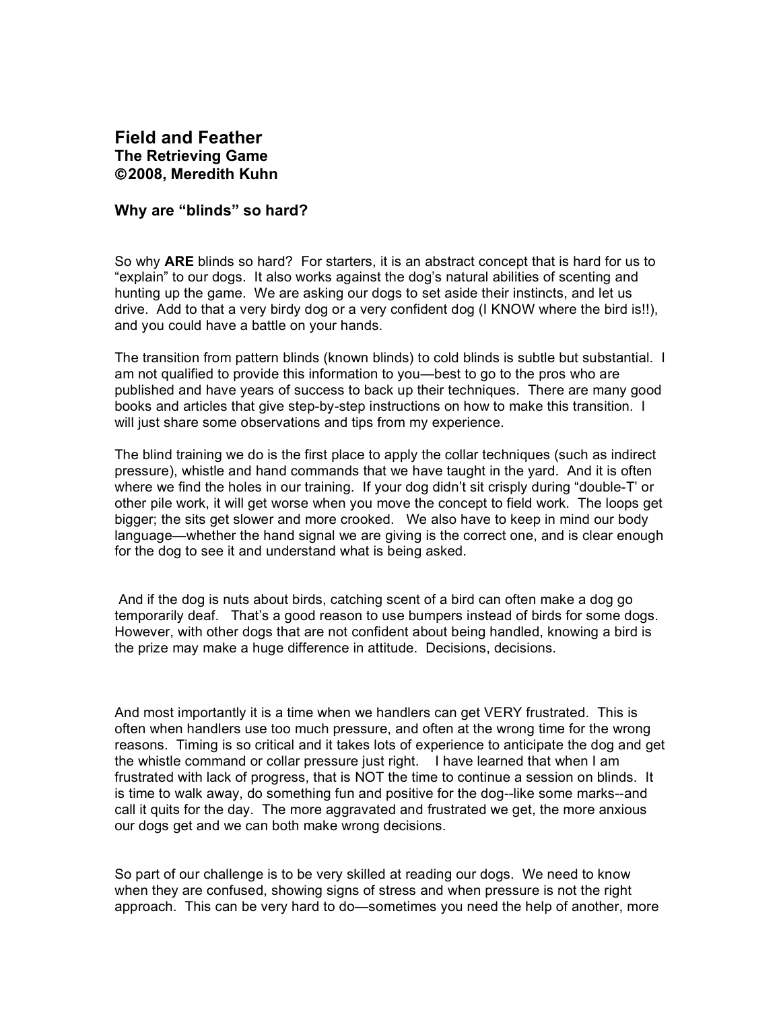## **Field and Feather The Retrieving Game** ©**2008, Meredith Kuhn**

## **Why are "blinds" so hard?**

So why **ARE** blinds so hard? For starters, it is an abstract concept that is hard for us to "explain" to our dogs. It also works against the dog's natural abilities of scenting and hunting up the game. We are asking our dogs to set aside their instincts, and let us drive. Add to that a very birdy dog or a very confident dog (I KNOW where the bird is!!), and you could have a battle on your hands.

The transition from pattern blinds (known blinds) to cold blinds is subtle but substantial. I am not qualified to provide this information to you—best to go to the pros who are published and have years of success to back up their techniques. There are many good books and articles that give step-by-step instructions on how to make this transition. I will just share some observations and tips from my experience.

The blind training we do is the first place to apply the collar techniques (such as indirect pressure), whistle and hand commands that we have taught in the yard. And it is often where we find the holes in our training. If your dog didn't sit crisply during "double-T' or other pile work, it will get worse when you move the concept to field work. The loops get bigger; the sits get slower and more crooked. We also have to keep in mind our body language—whether the hand signal we are giving is the correct one, and is clear enough for the dog to see it and understand what is being asked.

And if the dog is nuts about birds, catching scent of a bird can often make a dog go temporarily deaf. That's a good reason to use bumpers instead of birds for some dogs. However, with other dogs that are not confident about being handled, knowing a bird is the prize may make a huge difference in attitude. Decisions, decisions.

And most importantly it is a time when we handlers can get VERY frustrated. This is often when handlers use too much pressure, and often at the wrong time for the wrong reasons. Timing is so critical and it takes lots of experience to anticipate the dog and get the whistle command or collar pressure just right. I have learned that when I am frustrated with lack of progress, that is NOT the time to continue a session on blinds. It is time to walk away, do something fun and positive for the dog--like some marks--and call it quits for the day. The more aggravated and frustrated we get, the more anxious our dogs get and we can both make wrong decisions.

So part of our challenge is to be very skilled at reading our dogs. We need to know when they are confused, showing signs of stress and when pressure is not the right approach. This can be very hard to do—sometimes you need the help of another, more